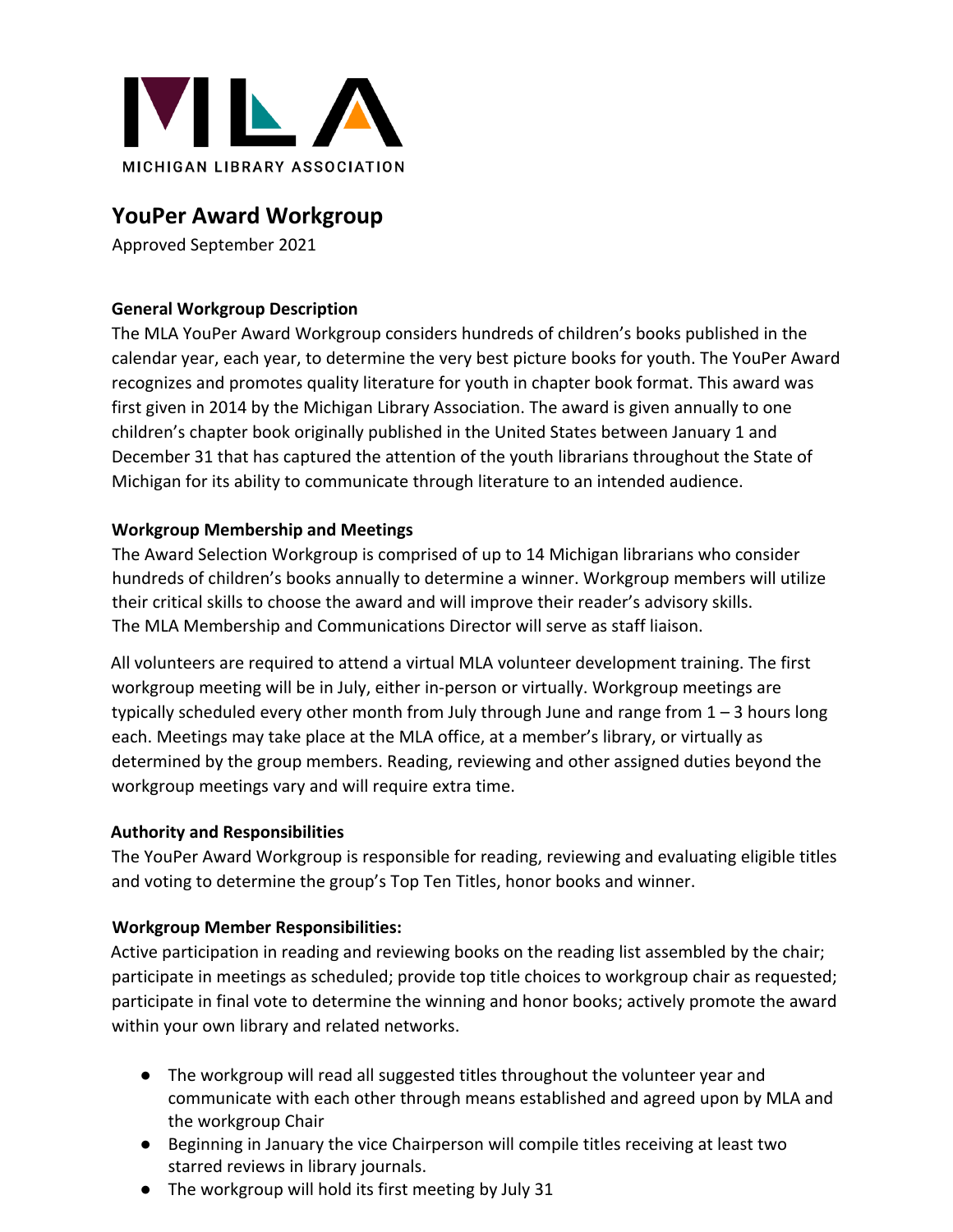

# **YouPer Award Workgroup**

Approved September 2021

# **General Workgroup Description**

The MLA YouPer Award Workgroup considers hundreds of children's books published in the calendar year, each year, to determine the very best picture books for youth. The YouPer Award recognizes and promotes quality literature for youth in chapter book format. This award was first given in 2014 by the Michigan Library Association. The award is given annually to one children's chapter book originally published in the United States between January 1 and December 31 that has captured the attention of the youth librarians throughout the State of Michigan for its ability to communicate through literature to an intended audience.

# **Workgroup Membership and Meetings**

The Award Selection Workgroup is comprised of up to 14 Michigan librarians who consider hundreds of children's books annually to determine a winner. Workgroup members will utilize their critical skills to choose the award and will improve their reader's advisory skills. The MLA Membership and Communications Director will serve as staff liaison.

All volunteers are required to attend a virtual MLA volunteer development training. The first workgroup meeting will be in July, either in-person or virtually. Workgroup meetings are typically scheduled every other month from July through June and range from  $1 - 3$  hours long each. Meetings may take place at the MLA office, at a member's library, or virtually as determined by the group members. Reading, reviewing and other assigned duties beyond the workgroup meetings vary and will require extra time.

### **Authority and Responsibilities**

The YouPer Award Workgroup is responsible for reading, reviewing and evaluating eligible titles and voting to determine the group's Top Ten Titles, honor books and winner.

### **Workgroup Member Responsibilities:**

Active participation in reading and reviewing books on the reading list assembled by the chair; participate in meetings as scheduled; provide top title choices to workgroup chair as requested; participate in final vote to determine the winning and honor books; actively promote the award within your own library and related networks.

- The workgroup will read all suggested titles throughout the volunteer year and communicate with each other through means established and agreed upon by MLA and the workgroup Chair
- Beginning in January the vice Chairperson will compile titles receiving at least two starred reviews in library journals.
- The workgroup will hold its first meeting by July 31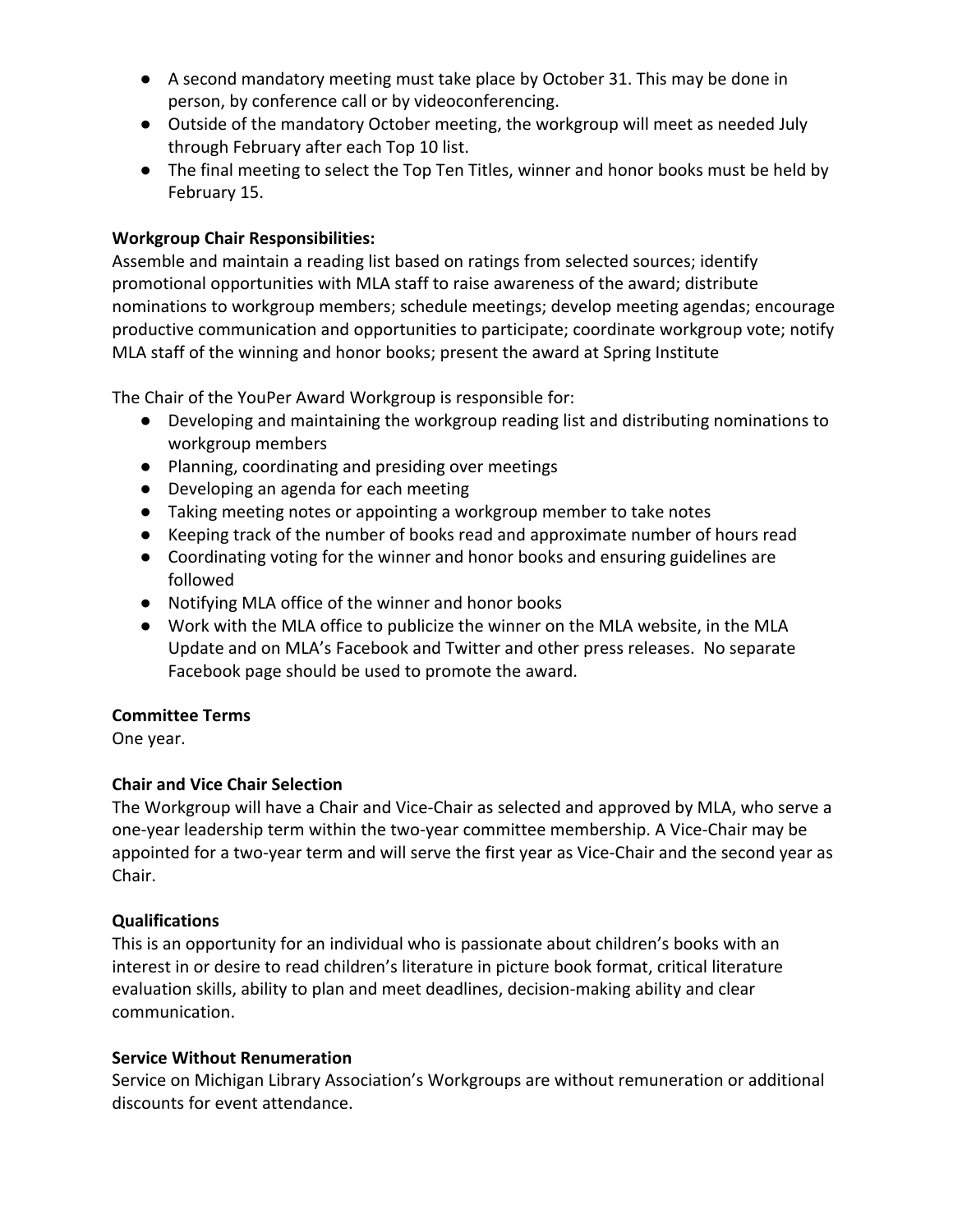- A second mandatory meeting must take place by October 31. This may be done in person, by conference call or by videoconferencing.
- Outside of the mandatory October meeting, the workgroup will meet as needed July through February after each Top 10 list.
- The final meeting to select the Top Ten Titles, winner and honor books must be held by February 15.

## **Workgroup Chair Responsibilities:**

Assemble and maintain a reading list based on ratings from selected sources; identify promotional opportunities with MLA staff to raise awareness of the award; distribute nominations to workgroup members; schedule meetings; develop meeting agendas; encourage productive communication and opportunities to participate; coordinate workgroup vote; notify MLA staff of the winning and honor books; present the award at Spring Institute

The Chair of the YouPer Award Workgroup is responsible for:

- Developing and maintaining the workgroup reading list and distributing nominations to workgroup members
- Planning, coordinating and presiding over meetings
- Developing an agenda for each meeting
- Taking meeting notes or appointing a workgroup member to take notes
- Keeping track of the number of books read and approximate number of hours read
- Coordinating voting for the winner and honor books and ensuring guidelines are followed
- Notifying MLA office of the winner and honor books
- Work with the MLA office to publicize the winner on the MLA website, in the MLA Update and on MLA's Facebook and Twitter and other press releases. No separate Facebook page should be used to promote the award.

### **Committee Terms**

One year.

### **Chair and Vice Chair Selection**

The Workgroup will have a Chair and Vice-Chair as selected and approved by MLA, who serve a one-year leadership term within the two-year committee membership. A Vice-Chair may be appointed for a two-year term and will serve the first year as Vice-Chair and the second year as Chair.

### **Qualifications**

This is an opportunity for an individual who is passionate about children's books with an interest in or desire to read children's literature in picture book format, critical literature evaluation skills, ability to plan and meet deadlines, decision-making ability and clear communication.

#### **Service Without Renumeration**

Service on Michigan Library Association's Workgroups are without remuneration or additional discounts for event attendance.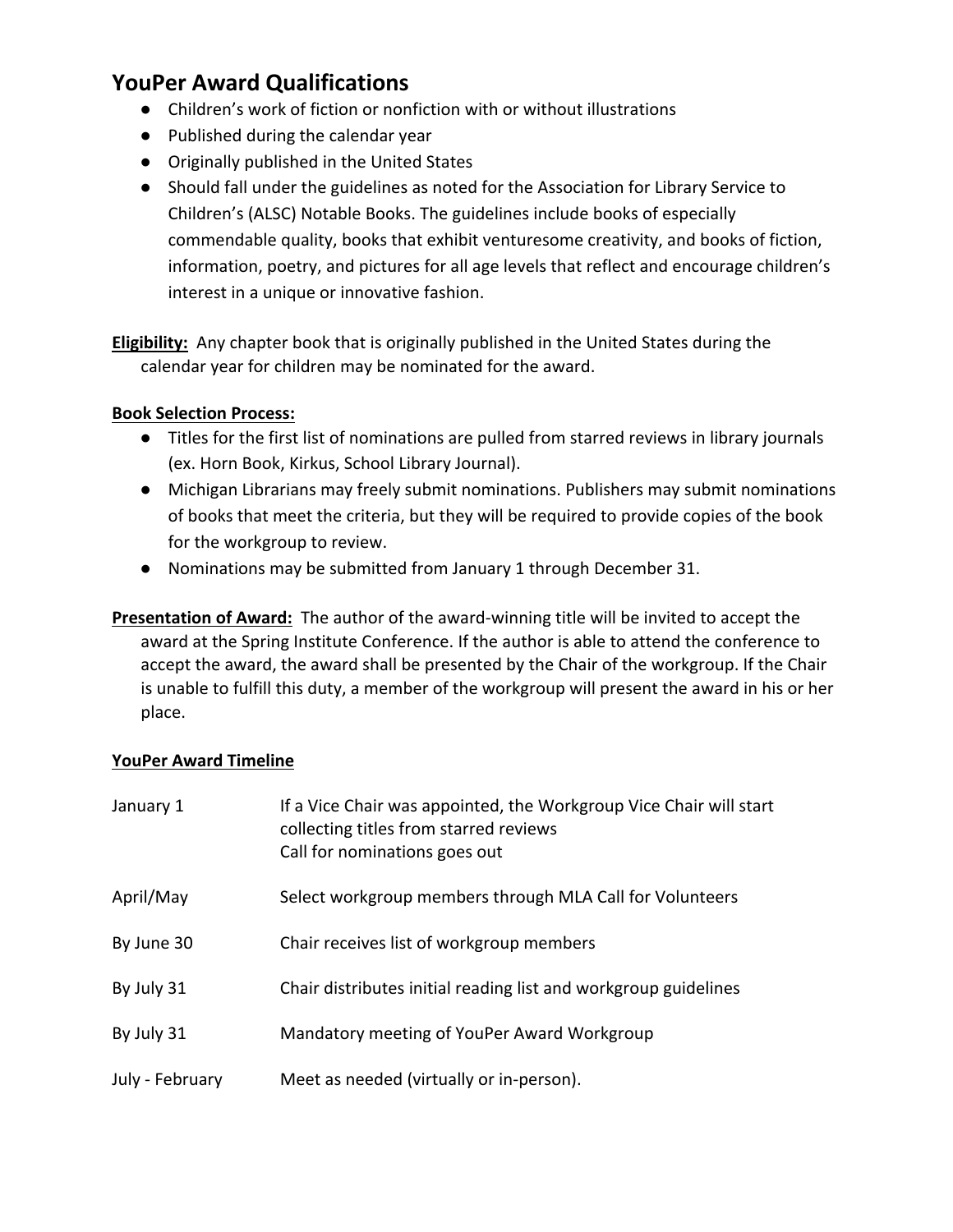# **YouPer Award Qualifications**

- Children's work of fiction or nonfiction with or without illustrations
- Published during the calendar year
- Originally published in the United States
- Should fall under the guidelines as noted for the Association for Library Service to Children's (ALSC) Notable Books. The guidelines include books of especially commendable quality, books that exhibit venturesome creativity, and books of fiction, information, poetry, and pictures for all age levels that reflect and encourage children's interest in a unique or innovative fashion.

**Eligibility:** Any chapter book that is originally published in the United States during the calendar year for children may be nominated for the award.

#### **Book Selection Process:**

- Titles for the first list of nominations are pulled from starred reviews in library journals (ex. Horn Book, Kirkus, School Library Journal).
- Michigan Librarians may freely submit nominations. Publishers may submit nominations of books that meet the criteria, but they will be required to provide copies of the book for the workgroup to review.
- Nominations may be submitted from January 1 through December 31.

**Presentation of Award:** The author of the award-winning title will be invited to accept the award at the Spring Institute Conference. If the author is able to attend the conference to accept the award, the award shall be presented by the Chair of the workgroup. If the Chair is unable to fulfill this duty, a member of the workgroup will present the award in his or her place.

#### **YouPer Award Timeline**

| January 1       | If a Vice Chair was appointed, the Workgroup Vice Chair will start<br>collecting titles from starred reviews<br>Call for nominations goes out |
|-----------------|-----------------------------------------------------------------------------------------------------------------------------------------------|
| April/May       | Select workgroup members through MLA Call for Volunteers                                                                                      |
| By June 30      | Chair receives list of workgroup members                                                                                                      |
| By July 31      | Chair distributes initial reading list and workgroup guidelines                                                                               |
| By July 31      | Mandatory meeting of YouPer Award Workgroup                                                                                                   |
| July - February | Meet as needed (virtually or in-person).                                                                                                      |